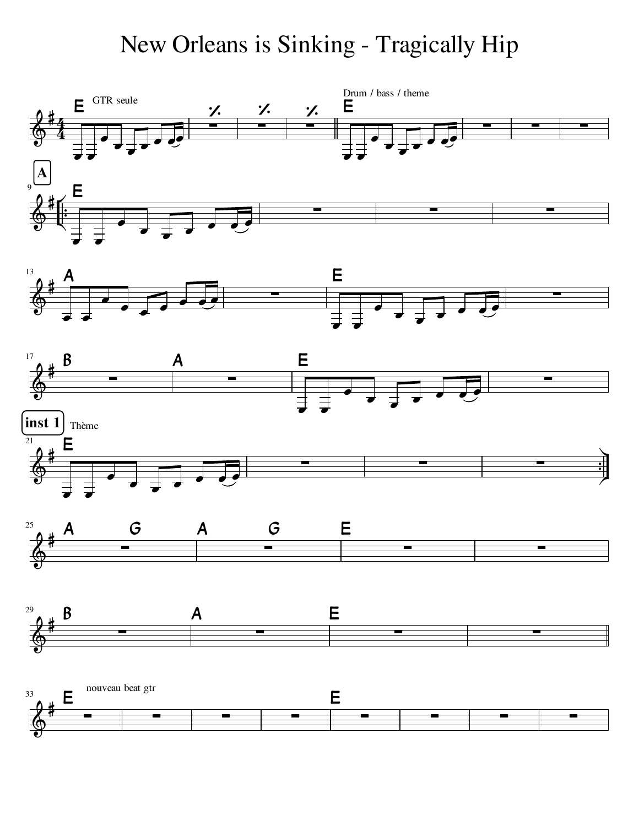## New Orleans is Sinking - Tragically Hip